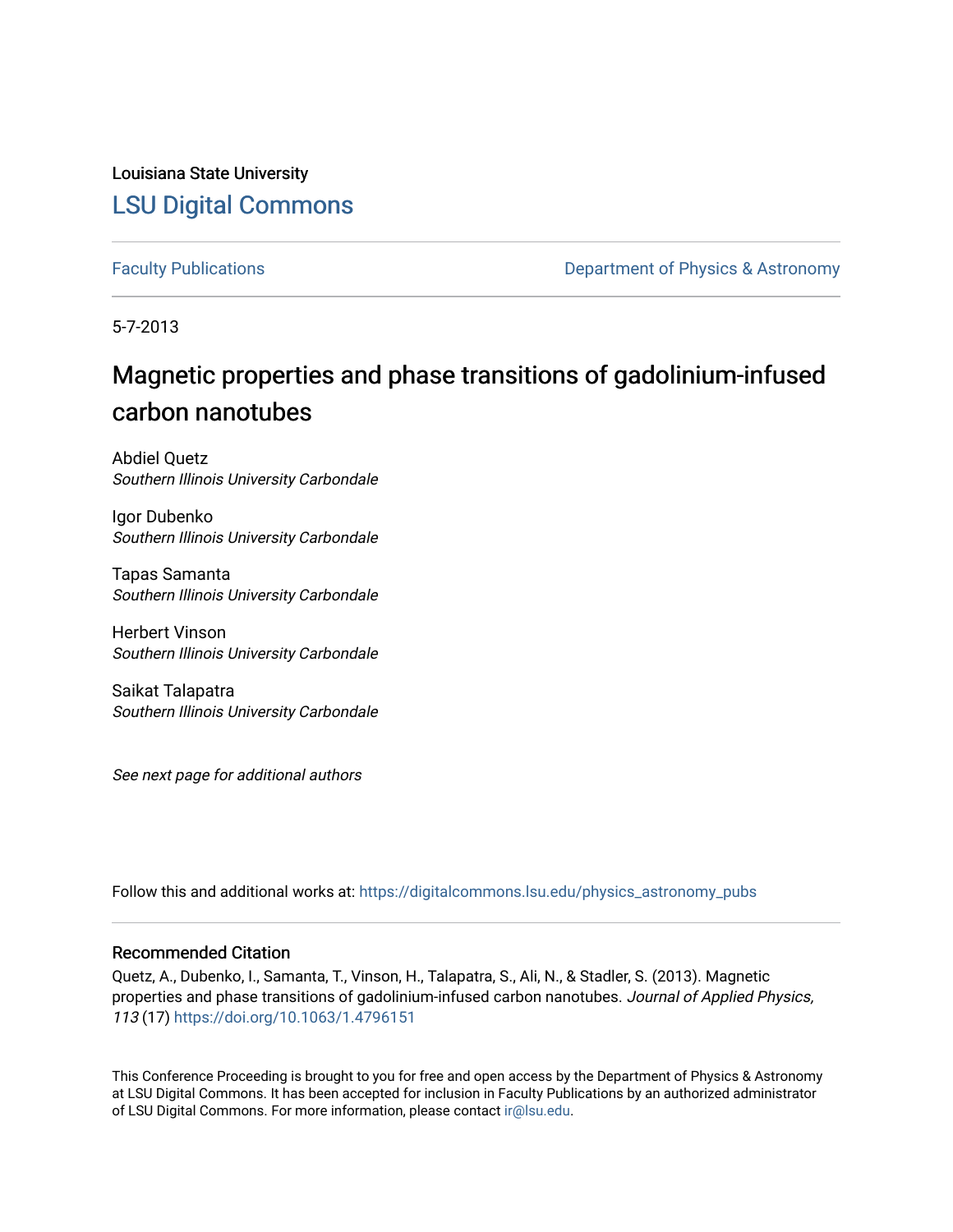Louisiana State University [LSU Digital Commons](https://digitalcommons.lsu.edu/)

[Faculty Publications](https://digitalcommons.lsu.edu/physics_astronomy_pubs) **Exercise 2 and Table 2 and Table 2 and Table 2 and Table 2 and Table 2 and Table 2 and Table 2 and Table 2 and Table 2 and Table 2 and Table 2 and Table 2 and Table 2 and Table 2 and Table 2 and Table** 

5-7-2013

# Magnetic properties and phase transitions of gadolinium-infused carbon nanotubes

Abdiel Quetz Southern Illinois University Carbondale

Igor Dubenko Southern Illinois University Carbondale

Tapas Samanta Southern Illinois University Carbondale

Herbert Vinson Southern Illinois University Carbondale

Saikat Talapatra Southern Illinois University Carbondale

See next page for additional authors

Follow this and additional works at: [https://digitalcommons.lsu.edu/physics\\_astronomy\\_pubs](https://digitalcommons.lsu.edu/physics_astronomy_pubs?utm_source=digitalcommons.lsu.edu%2Fphysics_astronomy_pubs%2F5272&utm_medium=PDF&utm_campaign=PDFCoverPages) 

#### Recommended Citation

Quetz, A., Dubenko, I., Samanta, T., Vinson, H., Talapatra, S., Ali, N., & Stadler, S. (2013). Magnetic properties and phase transitions of gadolinium-infused carbon nanotubes. Journal of Applied Physics, 113 (17) <https://doi.org/10.1063/1.4796151>

This Conference Proceeding is brought to you for free and open access by the Department of Physics & Astronomy at LSU Digital Commons. It has been accepted for inclusion in Faculty Publications by an authorized administrator of LSU Digital Commons. For more information, please contact [ir@lsu.edu](mailto:ir@lsu.edu).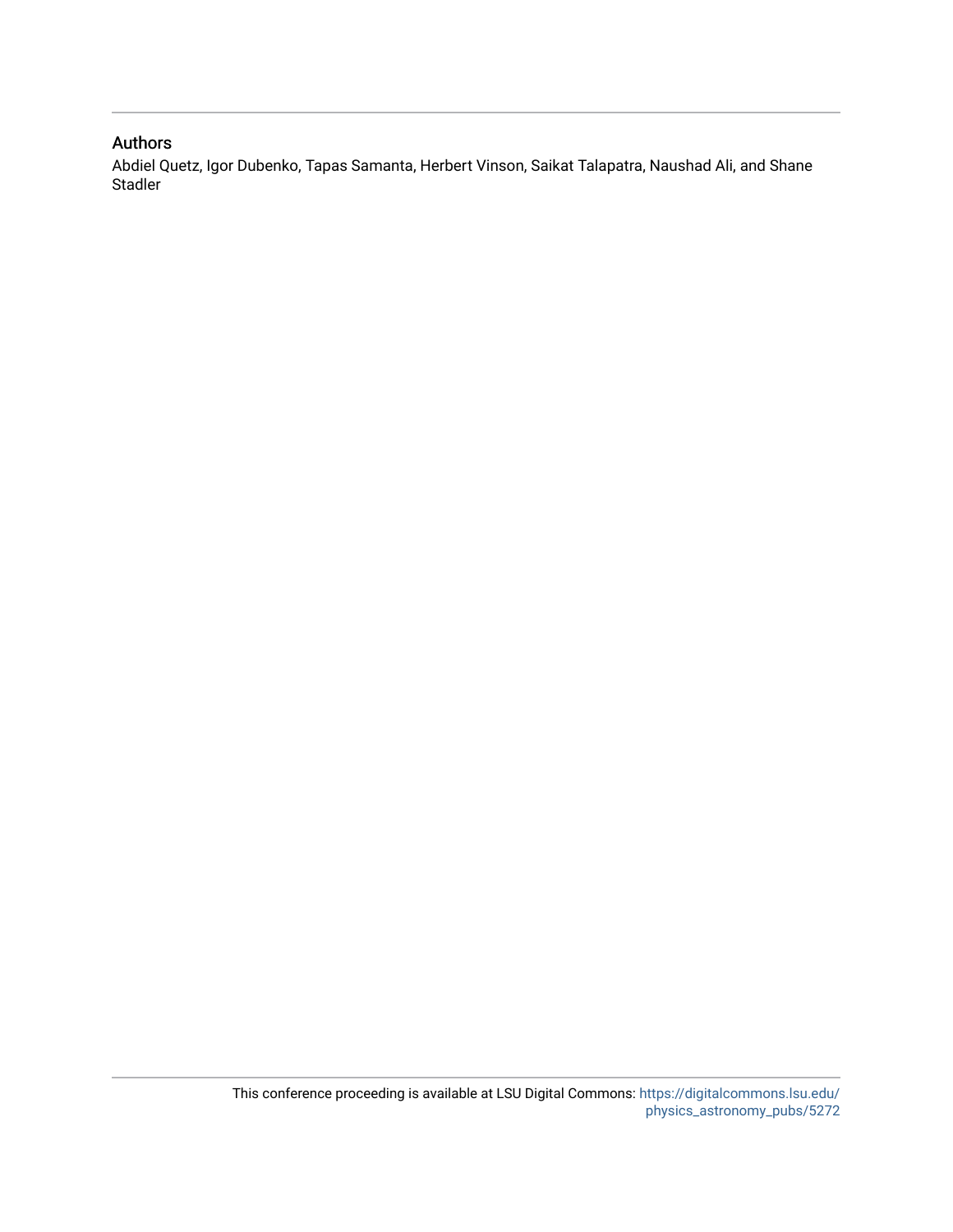### Authors

Abdiel Quetz, Igor Dubenko, Tapas Samanta, Herbert Vinson, Saikat Talapatra, Naushad Ali, and Shane Stadler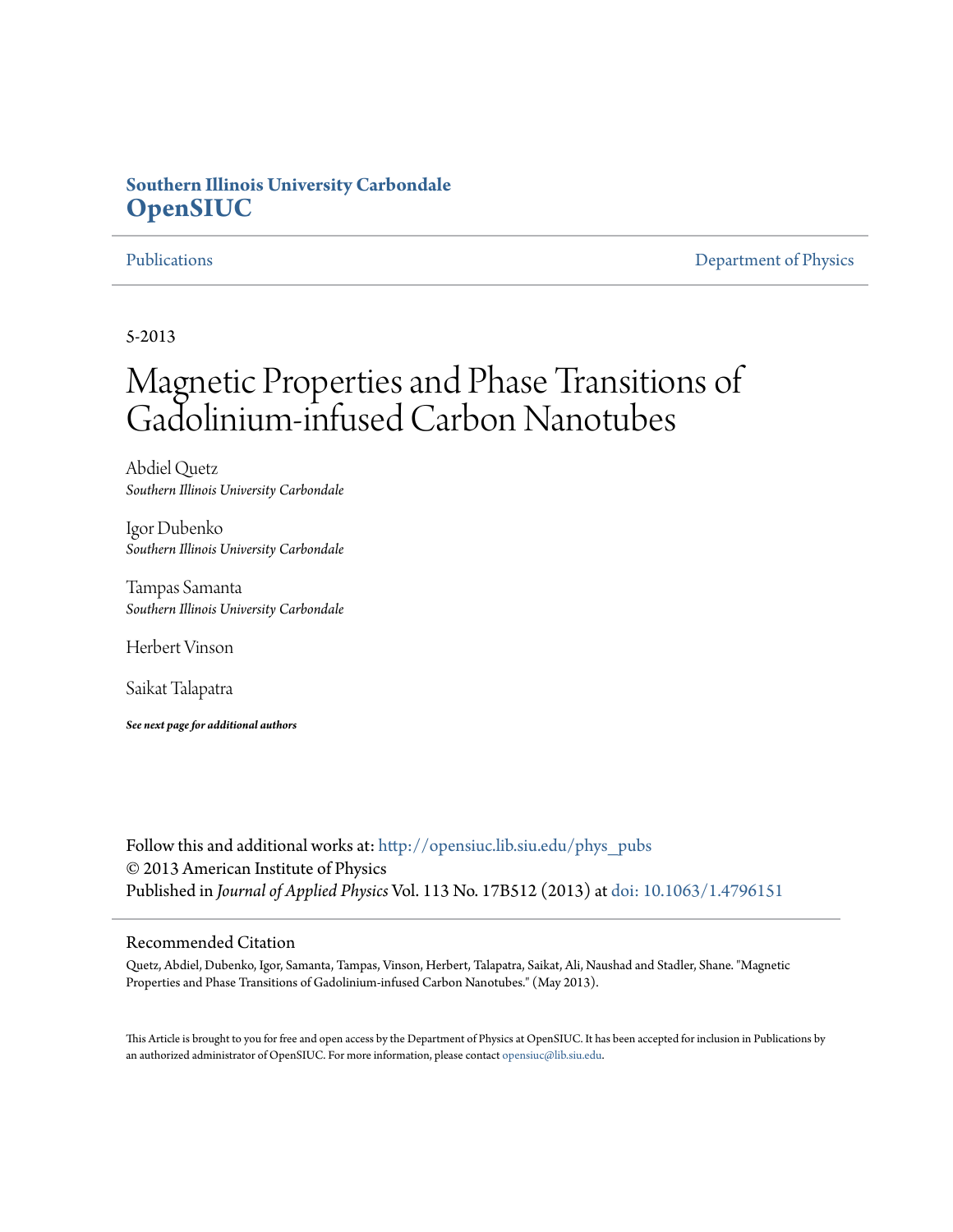## **Southern Illinois University Carbondale [OpenSIUC](http://opensiuc.lib.siu.edu?utm_source=opensiuc.lib.siu.edu%2Fphys_pubs%2F71&utm_medium=PDF&utm_campaign=PDFCoverPages)**

[Publications](http://opensiuc.lib.siu.edu/phys_pubs?utm_source=opensiuc.lib.siu.edu%2Fphys_pubs%2F71&utm_medium=PDF&utm_campaign=PDFCoverPages) [Department of Physics](http://opensiuc.lib.siu.edu/phys?utm_source=opensiuc.lib.siu.edu%2Fphys_pubs%2F71&utm_medium=PDF&utm_campaign=PDFCoverPages)

5-2013

# Magnetic Properties and Phase Transitions of Gadolinium-infused Carbon Nanotubes

Abdiel Quetz *Southern Illinois University Carbondale*

Igor Dubenko *Southern Illinois University Carbondale*

Tampas Samanta *Southern Illinois University Carbondale*

Herbert Vinson

Saikat Talapatra

*See next page for additional authors*

Follow this and additional works at: [http://opensiuc.lib.siu.edu/phys\\_pubs](http://opensiuc.lib.siu.edu/phys_pubs?utm_source=opensiuc.lib.siu.edu%2Fphys_pubs%2F71&utm_medium=PDF&utm_campaign=PDFCoverPages) © 2013 American Institute of Physics Published in *Journal of Applied Physics* Vol. 113 No. 17B512 (2013) at [doi: 10.1063/1.4796151](http://dx.doi.org/10.1063/1.4796151)

#### Recommended Citation

Quetz, Abdiel, Dubenko, Igor, Samanta, Tampas, Vinson, Herbert, Talapatra, Saikat, Ali, Naushad and Stadler, Shane. "Magnetic Properties and Phase Transitions of Gadolinium-infused Carbon Nanotubes." (May 2013).

This Article is brought to you for free and open access by the Department of Physics at OpenSIUC. It has been accepted for inclusion in Publications by an authorized administrator of OpenSIUC. For more information, please contact [opensiuc@lib.siu.edu.](mailto:opensiuc@lib.siu.edu)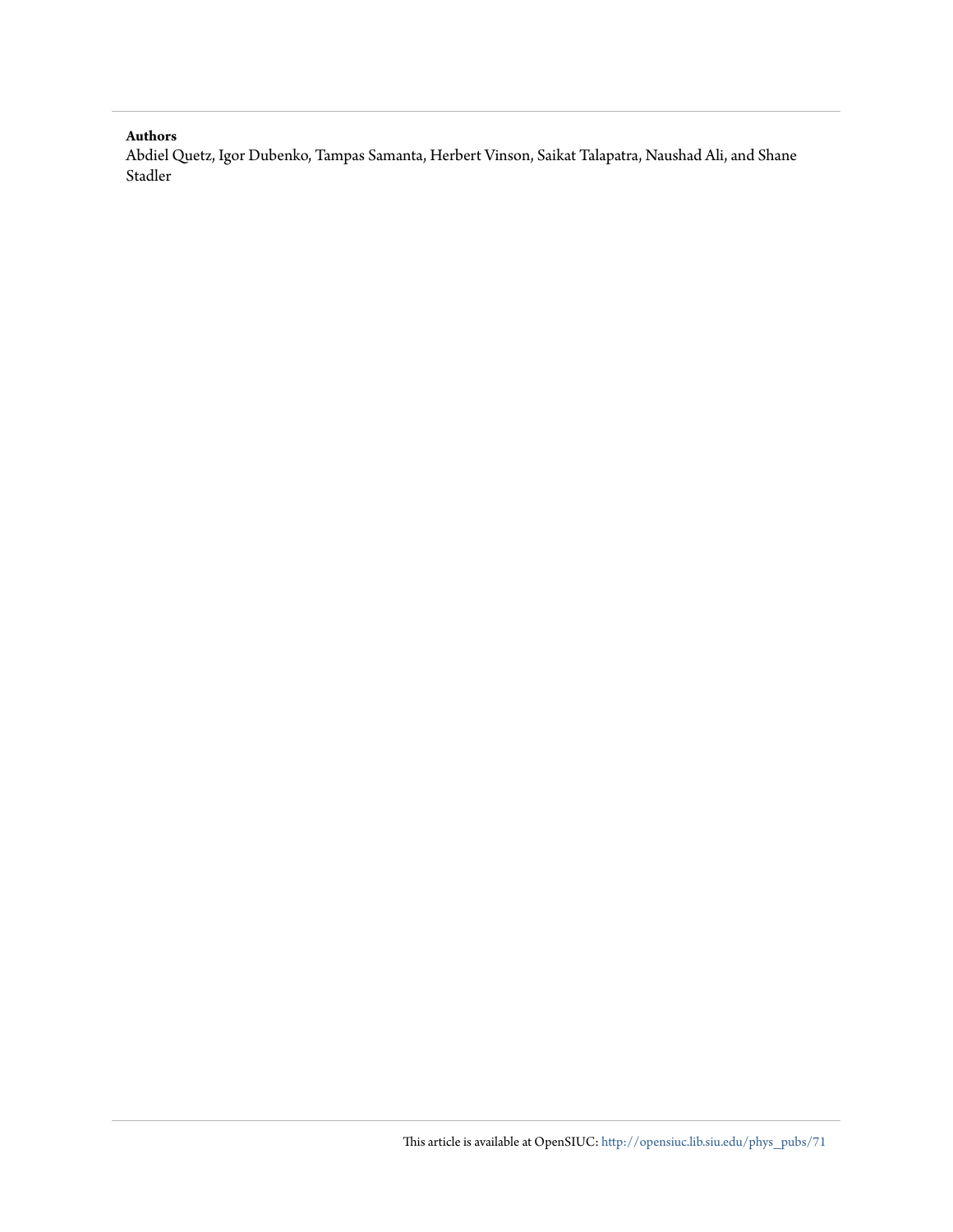#### **Authors**

Abdiel Quetz, Igor Dubenko, Tampas Samanta, Herbert Vinson, Saikat Talapatra, Naushad Ali, and Shane Stadler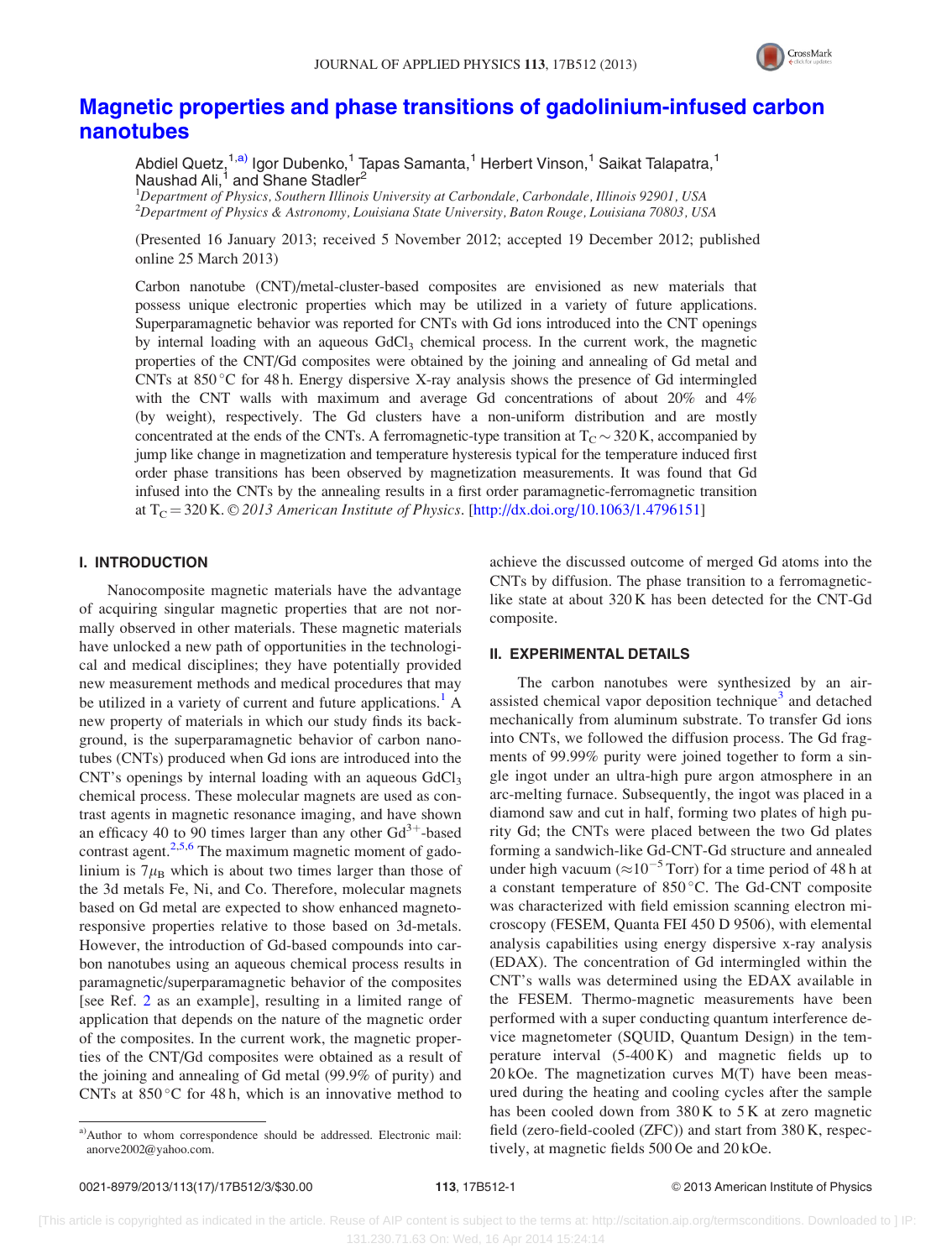

### [Magnetic properties and phase transitions of gadolinium-infused carbon](http://dx.doi.org/10.1063/1.4796151) [nanotubes](http://dx.doi.org/10.1063/1.4796151)

Abdiel Quetz,<sup>1,a)</sup> Igor Dubenko,<sup>1</sup> Tapas Samanta,<sup>1</sup> Herbert Vinson,<sup>1</sup> Saikat Talapatra,<sup>1</sup> Naushad Ali,<sup>1</sup> and Shane Stadler<sup>2</sup>

<sup>1</sup>Department of Physics, Southern Illinois University at Carbondale, Carbondale, Illinois 92901, USA 2 Department of Physics & Astronomy, Louisiana State University, Baton Rouge, Louisiana 70803, USA

(Presented 16 January 2013; received 5 November 2012; accepted 19 December 2012; published online 25 March 2013)

Carbon nanotube (CNT)/metal-cluster-based composites are envisioned as new materials that possess unique electronic properties which may be utilized in a variety of future applications. Superparamagnetic behavior was reported for CNTs with Gd ions introduced into the CNT openings by internal loading with an aqueous  $GdCl<sub>3</sub>$  chemical process. In the current work, the magnetic properties of the CNT/Gd composites were obtained by the joining and annealing of Gd metal and CNTs at 850 °C for 48 h. Energy dispersive X-ray analysis shows the presence of Gd intermingled with the CNT walls with maximum and average Gd concentrations of about 20% and 4% (by weight), respectively. The Gd clusters have a non-uniform distribution and are mostly concentrated at the ends of the CNTs. A ferromagnetic-type transition at  $T_{C} \sim 320$  K, accompanied by jump like change in magnetization and temperature hysteresis typical for the temperature induced first order phase transitions has been observed by magnetization measurements. It was found that Gd infused into the CNTs by the annealing results in a first order paramagnetic-ferromagnetic transition at  $T_{\rm C}$  = 320 K. © 2013 American Institute of Physics. [[http://dx.doi.org/10.1063/1.4796151\]](http://dx.doi.org/10.1063/1.4796151)

#### I. INTRODUCTION

Nanocomposite magnetic materials have the advantage of acquiring singular magnetic properties that are not normally observed in other materials. These magnetic materials have unlocked a new path of opportunities in the technological and medical disciplines; they have potentially provided new measurement methods and medical procedures that may be utilized in a variety of current and future applications.<sup>[1](#page-6-0)</sup> A new property of materials in which our study finds its background, is the superparamagnetic behavior of carbon nanotubes (CNTs) produced when Gd ions are introduced into the CNT's openings by internal loading with an aqueous  $GdCl<sub>3</sub>$ chemical process. These molecular magnets are used as contrast agents in magnetic resonance imaging, and have shown an efficacy 40 to 90 times larger than any other  $Gd^{3+}$ -based contrast agent. $2.5,6$  The maximum magnetic moment of gadolinium is  $7\mu_B$  which is about two times larger than those of the 3d metals Fe, Ni, and Co. Therefore, molecular magnets based on Gd metal are expected to show enhanced magnetoresponsive properties relative to those based on 3d-metals. However, the introduction of Gd-based compounds into carbon nanotubes using an aqueous chemical process results in paramagnetic/superparamagnetic behavior of the composites [see Ref. [2](#page-6-0) as an example], resulting in a limited range of application that depends on the nature of the magnetic order of the composites. In the current work, the magnetic properties of the CNT/Gd composites were obtained as a result of the joining and annealing of Gd metal (99.9% of purity) and CNTs at  $850^{\circ}$ C for 48 h, which is an innovative method to

achieve the discussed outcome of merged Gd atoms into the CNTs by diffusion. The phase transition to a ferromagneticlike state at about 320 K has been detected for the CNT-Gd composite.

#### II. EXPERIMENTAL DETAILS

The carbon nanotubes were synthesized by an air-assisted chemical vapor deposition technique<sup>[3](#page-6-0)</sup> and detached mechanically from aluminum substrate. To transfer Gd ions into CNTs, we followed the diffusion process. The Gd fragments of 99.99% purity were joined together to form a single ingot under an ultra-high pure argon atmosphere in an arc-melting furnace. Subsequently, the ingot was placed in a diamond saw and cut in half, forming two plates of high purity Gd; the CNTs were placed between the two Gd plates forming a sandwich-like Gd-CNT-Gd structure and annealed under high vacuum ( $\approx 10^{-5}$  Torr) for a time period of 48 h at a constant temperature of 850 °C. The Gd-CNT composite was characterized with field emission scanning electron microscopy (FESEM, Quanta FEI 450 D 9506), with elemental analysis capabilities using energy dispersive x-ray analysis (EDAX). The concentration of Gd intermingled within the CNT's walls was determined using the EDAX available in the FESEM. Thermo-magnetic measurements have been performed with a super conducting quantum interference device magnetometer (SQUID, Quantum Design) in the temperature interval (5-400 K) and magnetic fields up to  $20 kOe$ . The magnetization curves  $M(T)$  have been measured during the heating and cooling cycles after the sample has been cooled down from 380 K to 5 K at zero magnetic field (zero-field-cooled (ZFC)) and start from 380 K, respectively, at magnetic fields 500 Oe and 20 kOe.

a)Author to whom correspondence should be addressed. Electronic mail: [anorve2002@yahoo.com](mailto:anorve2002@yahoo.com).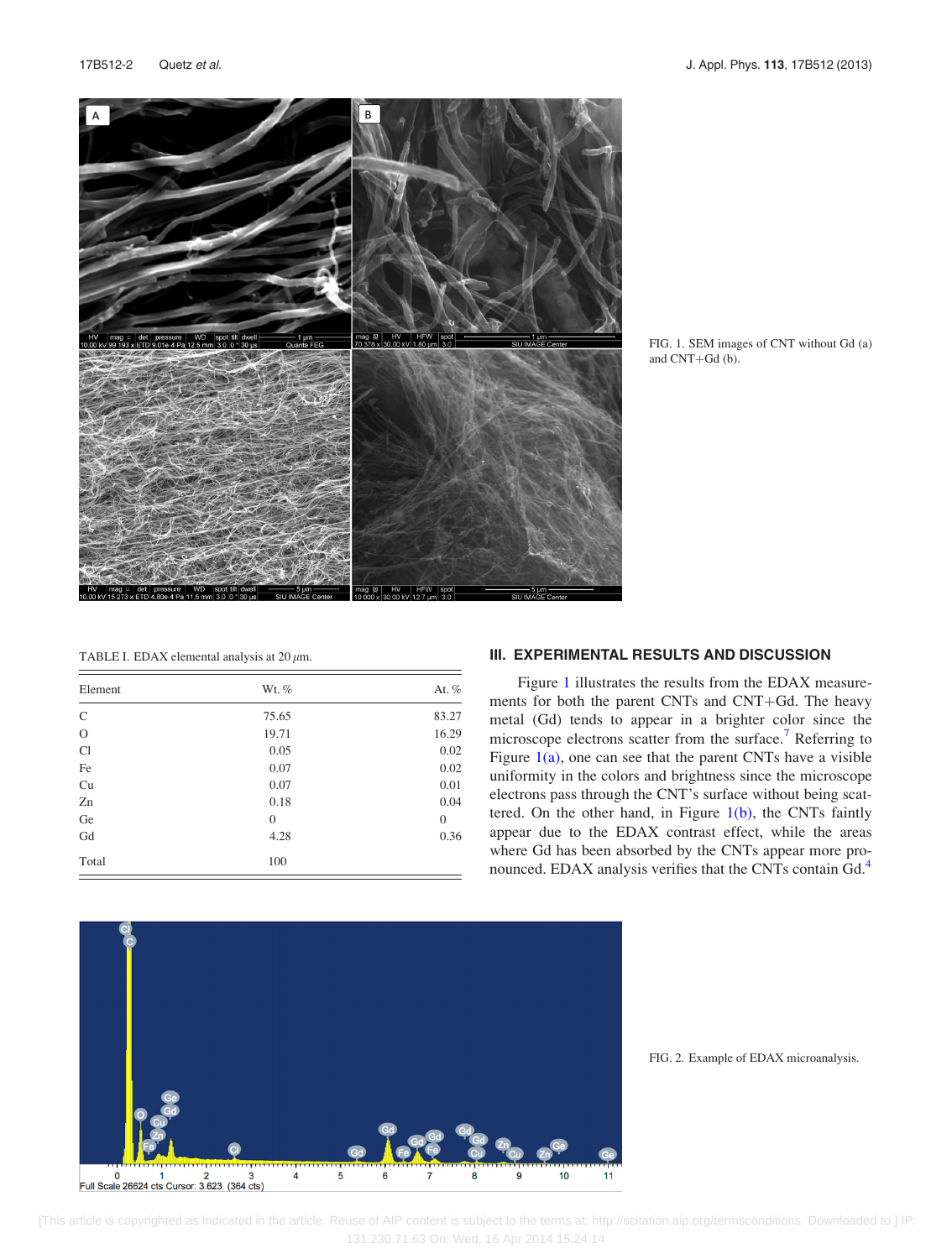<span id="page-5-0"></span>

FIG. 1. SEM images of CNT without Gd (a) and CNT+Gd (b).

| TABLE I. EDAX elemental analysis at 20 $\mu$ m. |
|-------------------------------------------------|
|-------------------------------------------------|

| Element       | Wt. %    | At. $%$      |
|---------------|----------|--------------|
| $\mathsf{C}$  | 75.65    | 83.27        |
| $\mathcal{O}$ | 19.71    | 16.29        |
| Cl            | 0.05     | 0.02         |
| Fe            | 0.07     | 0.02         |
| Cu            | 0.07     | 0.01         |
| Zn            | 0.18     | 0.04         |
| Ge            | $\theta$ | $\mathbf{0}$ |
| Gd            | 4.28     | 0.36         |
| Total         | 100      |              |

#### III. EXPERIMENTAL RESULTS AND DISCUSSION

Figure 1 illustrates the results from the EDAX measurements for both the parent CNTs and CNT+Gd. The heavy metal (Gd) tends to appear in a brighter color since the microscope electrons scatter from the surface.<sup>[7](#page-6-0)</sup> Referring to Figure  $1(a)$ , one can see that the parent CNTs have a visible uniformity in the colors and brightness since the microscope electrons pass through the CNT's surface without being scattered. On the other hand, in Figure  $1(b)$ , the CNTs faintly appear due to the EDAX contrast effect, while the areas where Gd has been absorbed by the CNTs appear more pro-nounced. EDAX analysis verifies that the CNTs contain Gd.<sup>[4](#page-6-0)</sup>



FIG. 2. Example of EDAX microanalysis.

 [This article is copyrighted as indicated in the article. Reuse of AIP content is subject to the terms at: http://scitation.aip.org/termsconditions. Downloaded to ] IP: 131.230.71.63 On: Wed, 16 Apr 2014 15:24:14